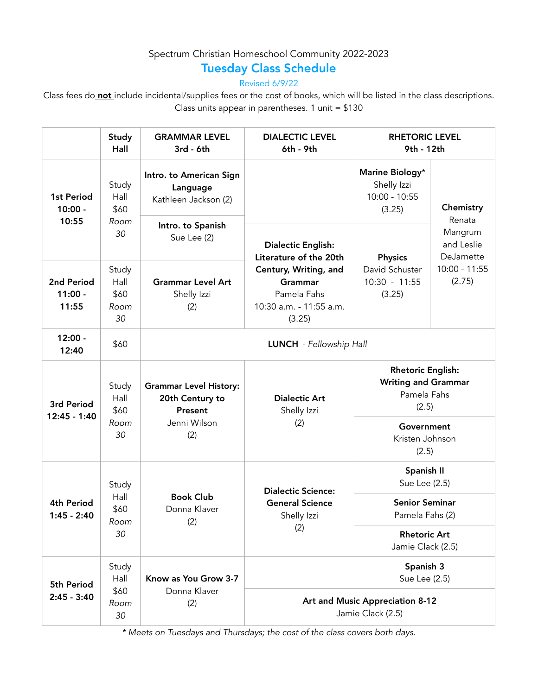## Spectrum Christian Homeschool Community 2022-2023

## Tuesday Class Schedule

Revised 6/9/22

Class fees do not include incidental/supplies fees or the cost of books, which will be listed in the class descriptions. Class units appear in parentheses.  $1$  unit = \$130

|                                    | Study<br>Hall                       | <b>GRAMMAR LEVEL</b><br>3rd - 6th                                                  | <b>DIALECTIC LEVEL</b><br>6th - 9th                                                                                                         | <b>RHETORIC LEVEL</b><br>9th - 12th                                            |                                     |  |
|------------------------------------|-------------------------------------|------------------------------------------------------------------------------------|---------------------------------------------------------------------------------------------------------------------------------------------|--------------------------------------------------------------------------------|-------------------------------------|--|
| 1st Period<br>$10:00 -$<br>10:55   | Study<br>Hall<br>\$60<br>Room<br>30 | Intro. to American Sign<br>Language<br>Kathleen Jackson (2)                        | <b>Dialectic English:</b><br>Literature of the 20th<br>Century, Writing, and<br>Grammar<br>Pamela Fahs<br>10:30 a.m. - 11:55 a.m.<br>(3.25) | Marine Biology*<br>Shelly Izzi<br>$10:00 - 10:55$<br>(3.25)                    | Chemistry<br>Renata                 |  |
|                                    |                                     | Intro. to Spanish<br>Sue Lee (2)                                                   |                                                                                                                                             | <b>Physics</b><br>David Schuster<br>$10:30 - 11:55$<br>(3.25)                  | Mangrum<br>and Leslie<br>DeJarnette |  |
| 2nd Period<br>$11:00 -$<br>11:55   | Study<br>Hall<br>\$60<br>Room<br>30 | <b>Grammar Level Art</b><br>Shelly Izzi<br>(2)                                     |                                                                                                                                             |                                                                                | $10:00 - 11:55$<br>(2.75)           |  |
| $12:00 -$<br>12:40                 | \$60                                | LUNCH - Fellowship Hall                                                            |                                                                                                                                             |                                                                                |                                     |  |
| 3rd Period<br>12:45 - 1:40         | Study<br>Hall<br>\$60<br>Room<br>30 | <b>Grammar Level History:</b><br>20th Century to<br>Present<br>Jenni Wilson<br>(2) | <b>Dialectic Art</b><br>Shelly Izzi<br>(2)                                                                                                  | <b>Rhetoric English:</b><br><b>Writing and Grammar</b><br>Pamela Fahs<br>(2.5) |                                     |  |
|                                    |                                     |                                                                                    |                                                                                                                                             | Government<br>Kristen Johnson<br>(2.5)                                         |                                     |  |
| <b>4th Period</b><br>$1:45 - 2:40$ | Study<br>Hall<br>\$60<br>Room<br>30 | <b>Book Club</b><br>Donna Klaver<br>(2)                                            | <b>Dialectic Science:</b><br><b>General Science</b><br>Shelly Izzi<br>(2)                                                                   | Spanish II<br>Sue Lee (2.5)                                                    |                                     |  |
|                                    |                                     |                                                                                    |                                                                                                                                             | <b>Senior Seminar</b><br>Pamela Fahs (2)                                       |                                     |  |
|                                    |                                     |                                                                                    |                                                                                                                                             | <b>Rhetoric Art</b><br>Jamie Clack (2.5)                                       |                                     |  |
| 5th Period<br>$2:45 - 3:40$        | Study<br>Hall<br>\$60<br>Room<br>30 | Know as You Grow 3-7<br>Donna Klaver<br>(2)                                        |                                                                                                                                             | Spanish 3<br>Sue Lee (2.5)                                                     |                                     |  |
|                                    |                                     |                                                                                    | Art and Music Appreciation 8-12<br>Jamie Clack (2.5)                                                                                        |                                                                                |                                     |  |

*\* Meets on Tuesdays and Thursdays; the cost of the class covers both days.*